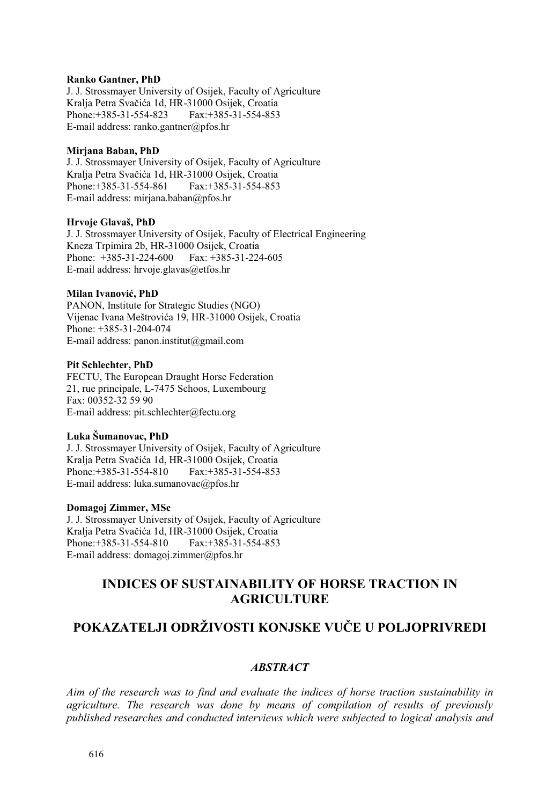#### **Ranko Gantner, PhD**

J. J. Strossmayer University of Osijek, Faculty of Agriculture Kralja Petra Svačića 1d, HR-31000 Osijek, Croatia Phone:+385-31-554-823 E-mail address: ranko.gantner@pfos.hr

## **Mirjana Baban, PhD**

J. J. Strossmayer University of Osijek, Faculty of Agriculture Kralja Petra Svačića 1d, HR-31000 Osijek, Croatia Phone:+385-31-554-861 Fax:+385-31-554-853 E-mail address: mirjana.baban@pfos.hr

#### **Hrvoje Glavaš, PhD**

J. J. Strossmayer University of Osijek, Faculty of Electrical Engineering Kneza Trpimira 2b, HR-31000 Osijek, Croatia Phone: +385-31-224-600 Fax: +385-31-224-605 E-mail address: hrvoje.glavas@etfos.hr

#### **Milan Ivanović, PhD**

PANON, Institute for Strategic Studies (NGO) Vijenac Ivana Meštrovića 19, HR-31000 Osijek, Croatia Phone: +385-31-204-074 E-mail address: panon.institut@gmail.com

#### **Pit Schlechter, PhD**

FECTU, The European Draught Horse Federation 21, rue principale, L-7475 Schoos, Luxembourg Fax: 00352-32 59 90 E-mail address: pit.schlechter@fectu.org

### **Luka Šumanovac, PhD**

J. J. Strossmayer University of Osijek, Faculty of Agriculture Kralja Petra Svačića 1d, HR-31000 Osijek, Croatia Phone:+385-31-554-810 Fax:+385-31-554-853 E-mail address: luka.sumanovac@pfos.hr

### **Domagoj Zimmer, MSc**

J. J. Strossmayer University of Osijek, Faculty of Agriculture Kralja Petra Svačića 1d, HR-31000 Osijek, Croatia Phone:+385-31-554-810 Fax:+385-31-554-853 E-mail address: domagoj.zimmer@pfos.hr

# **INDICES OF SUSTAINABILITY OF HORSE TRACTION IN AGRICULTURE**

# **POKAZATELJI ODRŽIVOSTI KONJSKE VUČE U POLJOPRIVREDI**

## *ABSTRACT*

*Aim of the research was to find and evaluate the indices of horse traction sustainability in agriculture. The research was done by means of compilation of results of previously published researches and conducted interviews which were subjected to logical analysis and*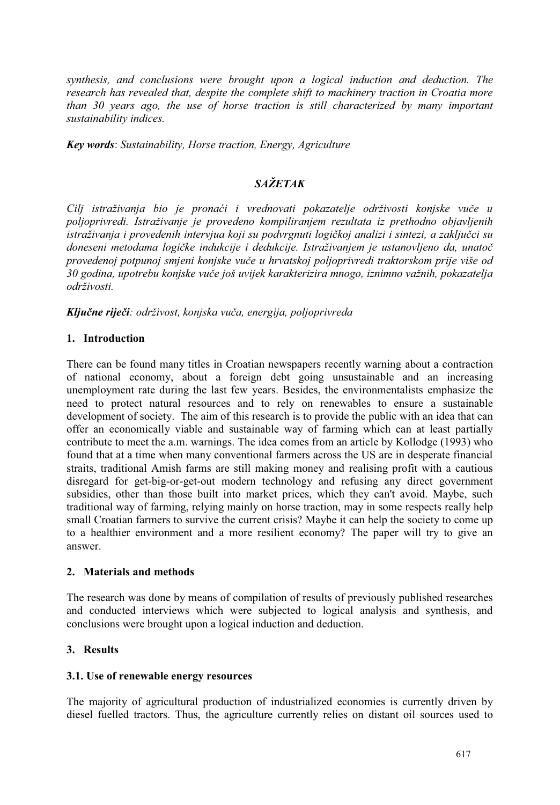*synthesis, and conclusions were brought upon a logical induction and deduction. The research has revealed that, despite the complete shift to machinery traction in Croatia more than 30 years ago, the use of horse traction is still characterized by many important sustainability indices.* 

*Key words*: *Sustainability, Horse traction, Energy, Agriculture* 

# *SAŽETAK*

*Cilj istraživanja bio je pronaći i vrednovati pokazatelje održivosti konjske vuče u poljoprivredi. Istraživanje je provedeno kompiliranjem rezultata iz prethodno objavljenih istraživanja i provedenih intervjua koji su podvrgnuti logičkoj analizi i sintezi, a zaključci su doneseni metodama logičke indukcije i dedukcije. Istraživanjem je ustanovljeno da, unatoč provedenoj potpunoj smjeni konjske vuče u hrvatskoj poljoprivredi traktorskom prije više od 30 godina, upotrebu konjske vuče još uvijek karakterizira mnogo, iznimno važnih, pokazatelja održivosti.*

*Ključne riječi: održivost, konjska vuča, energija, poljoprivreda*

# **1. Introduction**

There can be found many titles in Croatian newspapers recently warning about a contraction of national economy, about a foreign debt going unsustainable and an increasing unemployment rate during the last few years. Besides, the environmentalists emphasize the need to protect natural resources and to rely on renewables to ensure a sustainable development of society. The aim of this research is to provide the public with an idea that can offer an economically viable and sustainable way of farming which can at least partially contribute to meet the a.m. warnings. The idea comes from an article by Kollodge (1993) who found that at a time when many conventional farmers across the US are in desperate financial straits, traditional Amish farms are still making money and realising profit with a cautious disregard for get-big-or-get-out modern technology and refusing any direct government subsidies, other than those built into market prices, which they can't avoid. Maybe, such traditional way of farming, relying mainly on horse traction, may in some respects really help small Croatian farmers to survive the current crisis? Maybe it can help the society to come up to a healthier environment and a more resilient economy? The paper will try to give an answer.

# **2. Materials and methods**

The research was done by means of compilation of results of previously published researches and conducted interviews which were subjected to logical analysis and synthesis, and conclusions were brought upon a logical induction and deduction.

# **3. Results**

# **3.1. Use of renewable energy resources**

The majority of agricultural production of industrialized economies is currently driven by diesel fuelled tractors. Thus, the agriculture currently relies on distant oil sources used to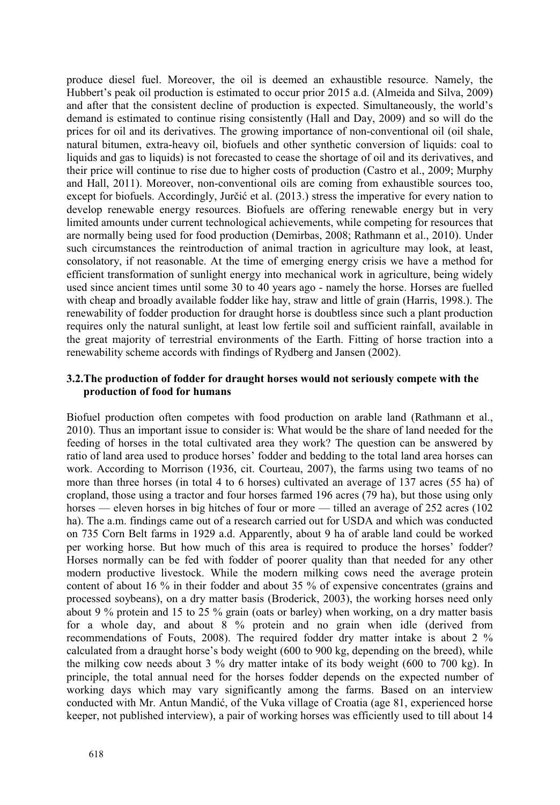produce diesel fuel. Moreover, the oil is deemed an exhaustible resource. Namely, the Hubbert's peak oil production is estimated to occur prior 2015 a.d. (Almeida and Silva, 2009) and after that the consistent decline of production is expected. Simultaneously, the world's demand is estimated to continue rising consistently (Hall and Day, 2009) and so will do the prices for oil and its derivatives. The growing importance of non-conventional oil (oil shale, natural bitumen, extra-heavy oil, biofuels and other synthetic conversion of liquids: coal to liquids and gas to liquids) is not forecasted to cease the shortage of oil and its derivatives, and their price will continue to rise due to higher costs of production (Castro et al., 2009; Murphy and Hall, 2011). Moreover, non-conventional oils are coming from exhaustible sources too, except for biofuels. Accordingly, Jurčić et al. (2013.) stress the imperative for every nation to develop renewable energy resources. Biofuels are offering renewable energy but in very limited amounts under current technological achievements, while competing for resources that are normally being used for food production (Demirbas, 2008; Rathmann et al., 2010). Under such circumstances the reintroduction of animal traction in agriculture may look, at least, consolatory, if not reasonable. At the time of emerging energy crisis we have a method for efficient transformation of sunlight energy into mechanical work in agriculture, being widely used since ancient times until some 30 to 40 years ago - namely the horse. Horses are fuelled with cheap and broadly available fodder like hay, straw and little of grain (Harris, 1998.). The renewability of fodder production for draught horse is doubtless since such a plant production requires only the natural sunlight, at least low fertile soil and sufficient rainfall, available in the great majority of terrestrial environments of the Earth. Fitting of horse traction into a renewability scheme accords with findings of Rydberg and Jansen (2002).

# **3.2.The production of fodder for draught horses would not seriously compete with the production of food for humans**

Biofuel production often competes with food production on arable land (Rathmann et al., 2010). Thus an important issue to consider is: What would be the share of land needed for the feeding of horses in the total cultivated area they work? The question can be answered by ratio of land area used to produce horses' fodder and bedding to the total land area horses can work. According to Morrison (1936, cit. Courteau, 2007), the farms using two teams of no more than three horses (in total 4 to 6 horses) cultivated an average of 137 acres (55 ha) of cropland, those using a tractor and four horses farmed 196 acres (79 ha), but those using only horses — eleven horses in big hitches of four or more — tilled an average of 252 acres (102) ha). The a.m. findings came out of a research carried out for USDA and which was conducted on 735 Corn Belt farms in 1929 a.d. Apparently, about 9 ha of arable land could be worked per working horse. But how much of this area is required to produce the horses' fodder? Horses normally can be fed with fodder of poorer quality than that needed for any other modern productive livestock. While the modern milking cows need the average protein content of about 16 % in their fodder and about 35 % of expensive concentrates (grains and processed soybeans), on a dry matter basis (Broderick, 2003), the working horses need only about 9 % protein and 15 to 25 % grain (oats or barley) when working, on a dry matter basis for a whole day, and about 8 % protein and no grain when idle (derived from recommendations of Fouts, 2008). The required fodder dry matter intake is about 2 % calculated from a draught horse's body weight (600 to 900 kg, depending on the breed), while the milking cow needs about 3 % dry matter intake of its body weight (600 to 700 kg). In principle, the total annual need for the horses fodder depends on the expected number of working days which may vary significantly among the farms. Based on an interview conducted with Mr. Antun Mandić, of the Vuka village of Croatia (age 81, experienced horse keeper, not published interview), a pair of working horses was efficiently used to till about 14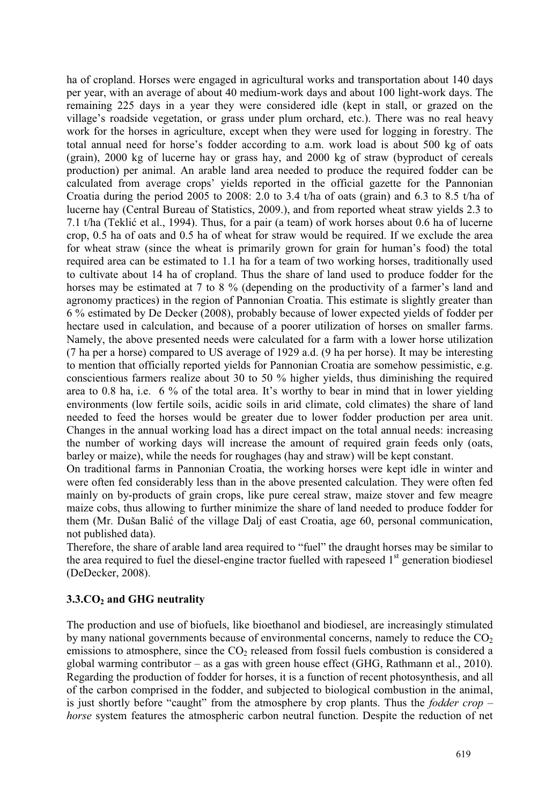ha of cropland. Horses were engaged in agricultural works and transportation about 140 days per year, with an average of about 40 medium-work days and about 100 light-work days. The remaining 225 days in a year they were considered idle (kept in stall, or grazed on the village's roadside vegetation, or grass under plum orchard, etc.). There was no real heavy work for the horses in agriculture, except when they were used for logging in forestry. The total annual need for horse's fodder according to a.m. work load is about 500 kg of oats (grain), 2000 kg of lucerne hay or grass hay, and 2000 kg of straw (byproduct of cereals production) per animal. An arable land area needed to produce the required fodder can be calculated from average crops' yields reported in the official gazette for the Pannonian Croatia during the period 2005 to 2008: 2.0 to 3.4 t/ha of oats (grain) and 6.3 to 8.5 t/ha of lucerne hay (Central Bureau of Statistics, 2009.), and from reported wheat straw yields 2.3 to 7.1 t/ha (Teklić et al., 1994). Thus, for a pair (a team) of work horses about 0.6 ha of lucerne crop, 0.5 ha of oats and 0.5 ha of wheat for straw would be required. If we exclude the area for wheat straw (since the wheat is primarily grown for grain for human's food) the total required area can be estimated to 1.1 ha for a team of two working horses, traditionally used to cultivate about 14 ha of cropland. Thus the share of land used to produce fodder for the horses may be estimated at 7 to 8 % (depending on the productivity of a farmer's land and agronomy practices) in the region of Pannonian Croatia. This estimate is slightly greater than 6 % estimated by De Decker (2008), probably because of lower expected yields of fodder per hectare used in calculation, and because of a poorer utilization of horses on smaller farms. Namely, the above presented needs were calculated for a farm with a lower horse utilization (7 ha per a horse) compared to US average of 1929 a.d. (9 ha per horse). It may be interesting to mention that officially reported yields for Pannonian Croatia are somehow pessimistic, e.g. conscientious farmers realize about 30 to 50 % higher yields, thus diminishing the required area to 0.8 ha, i.e. 6 % of the total area. It's worthy to bear in mind that in lower yielding environments (low fertile soils, acidic soils in arid climate, cold climates) the share of land needed to feed the horses would be greater due to lower fodder production per area unit. Changes in the annual working load has a direct impact on the total annual needs: increasing the number of working days will increase the amount of required grain feeds only (oats, barley or maize), while the needs for roughages (hay and straw) will be kept constant.

On traditional farms in Pannonian Croatia, the working horses were kept idle in winter and were often fed considerably less than in the above presented calculation. They were often fed mainly on by-products of grain crops, like pure cereal straw, maize stover and few meagre maize cobs, thus allowing to further minimize the share of land needed to produce fodder for them (Mr. Dušan Balić of the village Dalj of east Croatia, age 60, personal communication, not published data).

Therefore, the share of arable land area required to "fuel" the draught horses may be similar to the area required to fuel the diesel-engine tractor fuelled with rapeseed  $1<sup>st</sup>$  generation biodiesel (DeDecker, 2008).

# **3.3.CO2 and GHG neutrality**

The production and use of biofuels, like bioethanol and biodiesel, are increasingly stimulated by many national governments because of environmental concerns, namely to reduce the  $CO<sub>2</sub>$ emissions to atmosphere, since the  $CO<sub>2</sub>$  released from fossil fuels combustion is considered a global warming contributor – as a gas with green house effect (GHG, Rathmann et al., 2010). Regarding the production of fodder for horses, it is a function of recent photosynthesis, and all of the carbon comprised in the fodder, and subjected to biological combustion in the animal, is just shortly before "caught" from the atmosphere by crop plants. Thus the *fodder crop – horse* system features the atmospheric carbon neutral function. Despite the reduction of net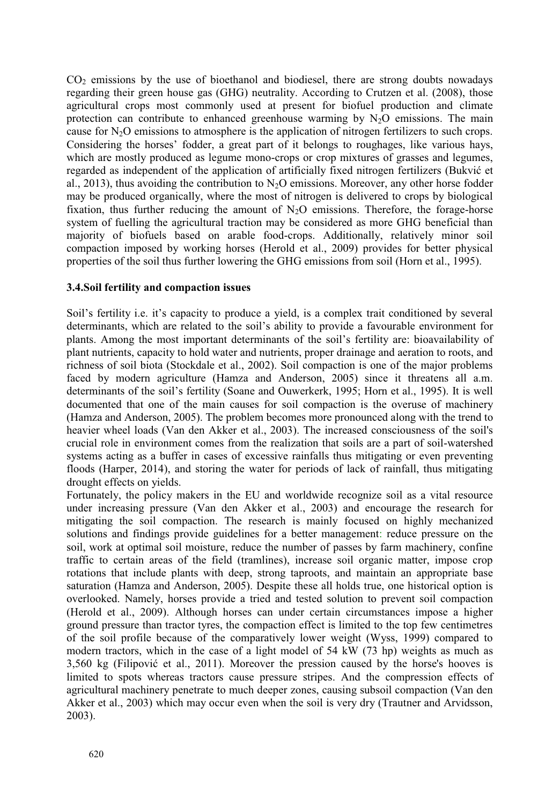CO2 emissions by the use of bioethanol and biodiesel, there are strong doubts nowadays regarding their green house gas (GHG) neutrality. According to Crutzen et al. (2008), those agricultural crops most commonly used at present for biofuel production and climate protection can contribute to enhanced greenhouse warming by  $N_2O$  emissions. The main cause for  $N_2O$  emissions to atmosphere is the application of nitrogen fertilizers to such crops. Considering the horses' fodder, a great part of it belongs to roughages, like various hays, which are mostly produced as legume mono-crops or crop mixtures of grasses and legumes, regarded as independent of the application of artificially fixed nitrogen fertilizers (Bukvić et al., 2013), thus avoiding the contribution to  $N<sub>2</sub>O$  emissions. Moreover, any other horse fodder may be produced organically, where the most of nitrogen is delivered to crops by biological fixation, thus further reducing the amount of  $N_2O$  emissions. Therefore, the forage-horse system of fuelling the agricultural traction may be considered as more GHG beneficial than majority of biofuels based on arable food-crops. Additionally, relatively minor soil compaction imposed by working horses (Herold et al., 2009) provides for better physical properties of the soil thus further lowering the GHG emissions from soil (Horn et al., 1995).

# **3.4.Soil fertility and compaction issues**

Soil's fertility i.e. it's capacity to produce a yield, is a complex trait conditioned by several determinants, which are related to the soil's ability to provide a favourable environment for plants. Among the most important determinants of the soil's fertility are: bioavailability of plant nutrients, capacity to hold water and nutrients, proper drainage and aeration to roots, and richness of soil biota (Stockdale et al., 2002). Soil compaction is one of the major problems faced by modern agriculture (Hamza and Anderson, 2005) since it threatens all a.m. determinants of the soil's fertility (Soane and Ouwerkerk, 1995; Horn et al., 1995). It is well documented that one of the main causes for soil compaction is the overuse of machinery (Hamza and Anderson, 2005). The problem becomes more pronounced along with the trend to heavier wheel loads (Van den Akker et al., 2003). The increased consciousness of the soil's crucial role in environment comes from the realization that soils are a part of soil-watershed systems acting as a buffer in cases of excessive rainfalls thus mitigating or even preventing floods (Harper, 2014), and storing the water for periods of lack of rainfall, thus mitigating drought effects on yields.

Fortunately, the policy makers in the EU and worldwide recognize soil as a vital resource under increasing pressure (Van den Akker et al., 2003) and encourage the research for mitigating the soil compaction. The research is mainly focused on highly mechanized solutions and findings provide guidelines for a better management: reduce pressure on the soil, work at optimal soil moisture, reduce the number of passes by farm machinery, confine traffic to certain areas of the field (tramlines), increase soil organic matter, impose crop rotations that include plants with deep, strong taproots, and maintain an appropriate base saturation (Hamza and Anderson, 2005). Despite these all holds true, one historical option is overlooked. Namely, horses provide a tried and tested solution to prevent soil compaction (Herold et al., 2009). Although horses can under certain circumstances impose a higher ground pressure than tractor tyres, the compaction effect is limited to the top few centimetres of the soil profile because of the comparatively lower weight (Wyss, 1999) compared to modern tractors, which in the case of a light model of 54 kW (73 hp) weights as much as 3,560 kg (Filipović et al., 2011). Moreover the pression caused by the horse's hooves is limited to spots whereas tractors cause pressure stripes. And the compression effects of agricultural machinery penetrate to much deeper zones, causing subsoil compaction (Van den Akker et al., 2003) which may occur even when the soil is very dry (Trautner and Arvidsson, 2003).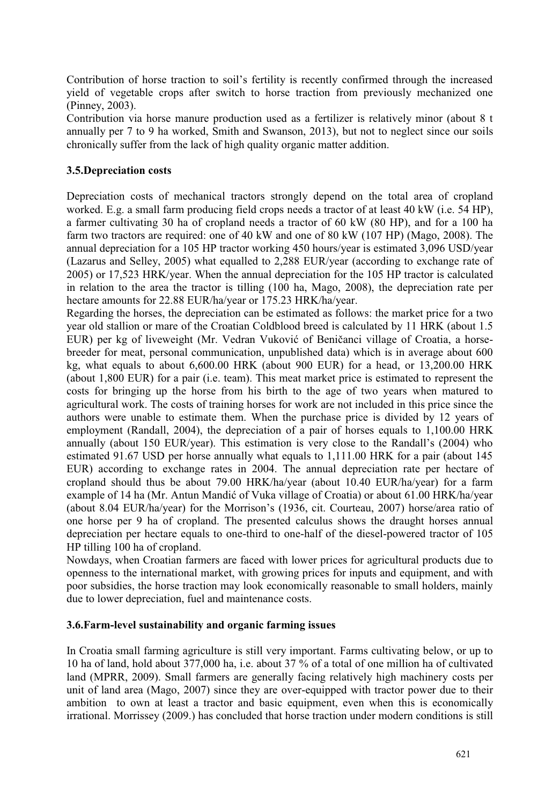Contribution of horse traction to soil's fertility is recently confirmed through the increased yield of vegetable crops after switch to horse traction from previously mechanized one (Pinney, 2003).

Contribution via horse manure production used as a fertilizer is relatively minor (about 8 t annually per 7 to 9 ha worked, Smith and Swanson, 2013), but not to neglect since our soils chronically suffer from the lack of high quality organic matter addition.

# **3.5.Depreciation costs**

Depreciation costs of mechanical tractors strongly depend on the total area of cropland worked. E.g. a small farm producing field crops needs a tractor of at least 40 kW (i.e. 54 HP), a farmer cultivating 30 ha of cropland needs a tractor of 60 kW (80 HP), and for a 100 ha farm two tractors are required: one of 40 kW and one of 80 kW (107 HP) (Mago, 2008). The annual depreciation for a 105 HP tractor working 450 hours/year is estimated 3,096 USD/year (Lazarus and Selley, 2005) what equalled to 2,288 EUR/year (according to exchange rate of 2005) or 17,523 HRK/year. When the annual depreciation for the 105 HP tractor is calculated in relation to the area the tractor is tilling (100 ha, Mago, 2008), the depreciation rate per hectare amounts for 22.88 EUR/ha/year or 175.23 HRK/ha/year.

Regarding the horses, the depreciation can be estimated as follows: the market price for a two year old stallion or mare of the Croatian Coldblood breed is calculated by 11 HRK (about 1.5 EUR) per kg of liveweight (Mr. Vedran Vuković of Beničanci village of Croatia, a horsebreeder for meat, personal communication, unpublished data) which is in average about 600 kg, what equals to about 6,600.00 HRK (about 900 EUR) for a head, or 13,200.00 HRK (about 1,800 EUR) for a pair (i.e. team). This meat market price is estimated to represent the costs for bringing up the horse from his birth to the age of two years when matured to agricultural work. The costs of training horses for work are not included in this price since the authors were unable to estimate them. When the purchase price is divided by 12 years of employment (Randall, 2004), the depreciation of a pair of horses equals to 1,100.00 HRK annually (about 150 EUR/year). This estimation is very close to the Randall's (2004) who estimated 91.67 USD per horse annually what equals to 1,111.00 HRK for a pair (about 145 EUR) according to exchange rates in 2004. The annual depreciation rate per hectare of cropland should thus be about 79.00 HRK/ha/year (about 10.40 EUR/ha/year) for a farm example of 14 ha (Mr. Antun Mandić of Vuka village of Croatia) or about 61.00 HRK/ha/year (about 8.04 EUR/ha/year) for the Morrison's (1936, cit. Courteau, 2007) horse/area ratio of one horse per 9 ha of cropland. The presented calculus shows the draught horses annual depreciation per hectare equals to one-third to one-half of the diesel-powered tractor of 105 HP tilling 100 ha of cropland.

Nowdays, when Croatian farmers are faced with lower prices for agricultural products due to openness to the international market, with growing prices for inputs and equipment, and with poor subsidies, the horse traction may look economically reasonable to small holders, mainly due to lower depreciation, fuel and maintenance costs.

# **3.6.Farm-level sustainability and organic farming issues**

In Croatia small farming agriculture is still very important. Farms cultivating below, or up to 10 ha of land, hold about 377,000 ha, i.e. about 37 % of a total of one million ha of cultivated land (MPRR, 2009). Small farmers are generally facing relatively high machinery costs per unit of land area (Mago, 2007) since they are over-equipped with tractor power due to their ambition to own at least a tractor and basic equipment, even when this is economically irrational. Morrissey (2009.) has concluded that horse traction under modern conditions is still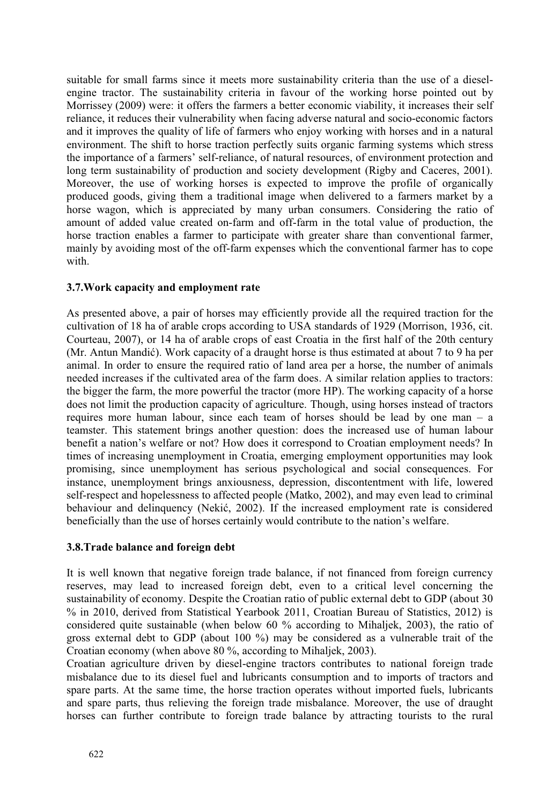suitable for small farms since it meets more sustainability criteria than the use of a dieselengine tractor. The sustainability criteria in favour of the working horse pointed out by Morrissey (2009) were: it offers the farmers a better economic viability, it increases their self reliance, it reduces their vulnerability when facing adverse natural and socio-economic factors and it improves the quality of life of farmers who enjoy working with horses and in a natural environment. The shift to horse traction perfectly suits organic farming systems which stress the importance of a farmers' self-reliance, of natural resources, of environment protection and long term sustainability of production and society development (Rigby and Caceres, 2001). Moreover, the use of working horses is expected to improve the profile of organically produced goods, giving them a traditional image when delivered to a farmers market by a horse wagon, which is appreciated by many urban consumers. Considering the ratio of amount of added value created on-farm and off-farm in the total value of production, the horse traction enables a farmer to participate with greater share than conventional farmer, mainly by avoiding most of the off-farm expenses which the conventional farmer has to cope with.

# **3.7.Work capacity and employment rate**

As presented above, a pair of horses may efficiently provide all the required traction for the cultivation of 18 ha of arable crops according to USA standards of 1929 (Morrison, 1936, cit. Courteau, 2007), or 14 ha of arable crops of east Croatia in the first half of the 20th century (Mr. Antun Mandić). Work capacity of a draught horse is thus estimated at about 7 to 9 ha per animal. In order to ensure the required ratio of land area per a horse, the number of animals needed increases if the cultivated area of the farm does. A similar relation applies to tractors: the bigger the farm, the more powerful the tractor (more HP). The working capacity of a horse does not limit the production capacity of agriculture. Though, using horses instead of tractors requires more human labour, since each team of horses should be lead by one man – a teamster. This statement brings another question: does the increased use of human labour benefit a nation's welfare or not? How does it correspond to Croatian employment needs? In times of increasing unemployment in Croatia, emerging employment opportunities may look promising, since unemployment has serious psychological and social consequences. For instance, unemployment brings anxiousness, depression, discontentment with life, lowered self-respect and hopelessness to affected people (Matko, 2002), and may even lead to criminal behaviour and delinquency (Nekić, 2002). If the increased employment rate is considered beneficially than the use of horses certainly would contribute to the nation's welfare.

# **3.8.Trade balance and foreign debt**

It is well known that negative foreign trade balance, if not financed from foreign currency reserves, may lead to increased foreign debt, even to a critical level concerning the sustainability of economy. Despite the Croatian ratio of public external debt to GDP (about 30 % in 2010, derived from Statistical Yearbook 2011, Croatian Bureau of Statistics, 2012) is considered quite sustainable (when below 60 % according to Mihaljek, 2003), the ratio of gross external debt to GDP (about 100 %) may be considered as a vulnerable trait of the Croatian economy (when above 80 %, according to Mihaljek, 2003).

Croatian agriculture driven by diesel-engine tractors contributes to national foreign trade misbalance due to its diesel fuel and lubricants consumption and to imports of tractors and spare parts. At the same time, the horse traction operates without imported fuels, lubricants and spare parts, thus relieving the foreign trade misbalance. Moreover, the use of draught horses can further contribute to foreign trade balance by attracting tourists to the rural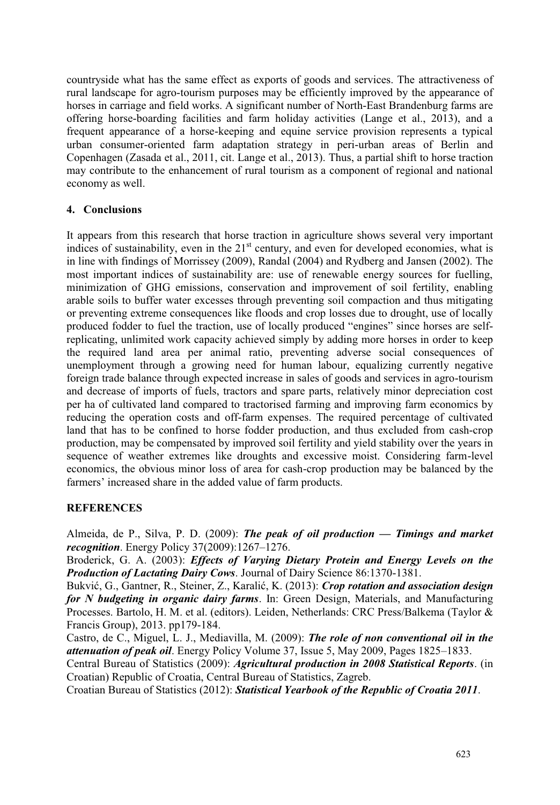countryside what has the same effect as exports of goods and services. The attractiveness of rural landscape for agro-tourism purposes may be efficiently improved by the appearance of horses in carriage and field works. A significant number of North-East Brandenburg farms are offering horse-boarding facilities and farm holiday activities (Lange et al., 2013), and a frequent appearance of a horse-keeping and equine service provision represents a typical urban consumer-oriented farm adaptation strategy in peri-urban areas of Berlin and Copenhagen (Zasada et al., 2011, cit. Lange et al., 2013). Thus, a partial shift to horse traction may contribute to the enhancement of rural tourism as a component of regional and national economy as well.

# **4. Conclusions**

It appears from this research that horse traction in agriculture shows several very important indices of sustainability, even in the  $21<sup>st</sup>$  century, and even for developed economies, what is in line with findings of Morrissey (2009), Randal (2004) and Rydberg and Jansen (2002). The most important indices of sustainability are: use of renewable energy sources for fuelling, minimization of GHG emissions, conservation and improvement of soil fertility, enabling arable soils to buffer water excesses through preventing soil compaction and thus mitigating or preventing extreme consequences like floods and crop losses due to drought, use of locally produced fodder to fuel the traction, use of locally produced "engines" since horses are selfreplicating, unlimited work capacity achieved simply by adding more horses in order to keep the required land area per animal ratio, preventing adverse social consequences of unemployment through a growing need for human labour, equalizing currently negative foreign trade balance through expected increase in sales of goods and services in agro-tourism and decrease of imports of fuels, tractors and spare parts, relatively minor depreciation cost per ha of cultivated land compared to tractorised farming and improving farm economics by reducing the operation costs and off-farm expenses. The required percentage of cultivated land that has to be confined to horse fodder production, and thus excluded from cash-crop production, may be compensated by improved soil fertility and yield stability over the years in sequence of weather extremes like droughts and excessive moist. Considering farm-level economics, the obvious minor loss of area for cash-crop production may be balanced by the farmers' increased share in the added value of farm products.

# **REFERENCES**

Almeida, de P., Silva, P. D. (2009): *The peak of oil production — Timings and market recognition*. Energy Policy 37(2009):1267–1276.

Broderick, G. A. (2003): *Effects of Varying Dietary Protein and Energy Levels on the Production of Lactating Dairy Cows*. Journal of Dairy Science 86:1370-1381.

Bukvić, G., Gantner, R., Steiner, Z., Karalić, K. (2013): *Crop rotation and association design for N budgeting in organic dairy farms*. In: Green Design, Materials, and Manufacturing Processes. Bartolo, H. M. et al. (editors). Leiden, Netherlands: CRC Press/Balkema (Taylor & Francis Group), 2013. pp179-184.

Castro, de C., Miguel, L. J., Mediavilla, M. (2009): *The role of non conventional oil in the attenuation of peak oil*. Energy Policy Volume 37, Issue 5, May 2009, Pages 1825–1833.

Central Bureau of Statistics (2009): *Agricultural production in 2008 Statistical Reports*. (in Croatian) Republic of Croatia, Central Bureau of Statistics, Zagreb.

Croatian Bureau of Statistics (2012): *Statistical Yearbook of the Republic of Croatia 2011*.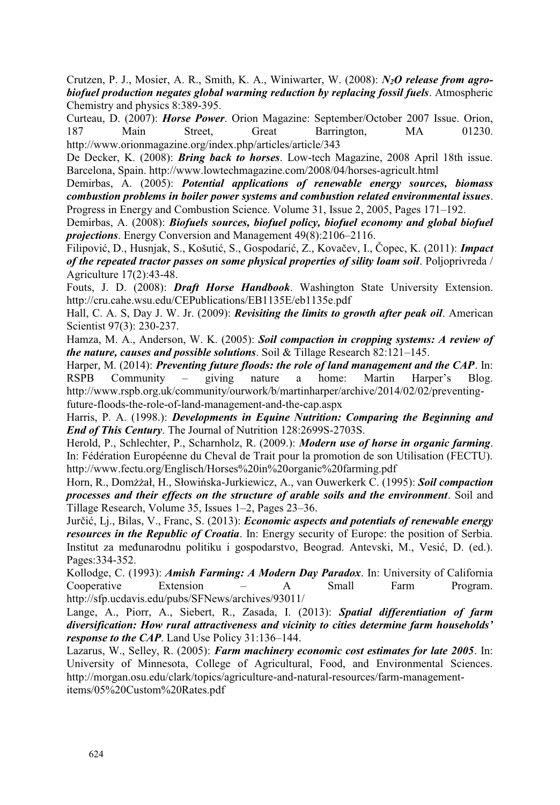Crutzen, P. J., Mosier, A. R., Smith, K. A., Winiwarter, W. (2008): *N2O release from agrobiofuel production negates global warming reduction by replacing fossil fuels*. Atmospheric Chemistry and physics 8:389-395.

Curteau, D. (2007): *Horse Power*. Orion Magazine: September/October 2007 Issue. Orion, 187 Main Street, Great Barrington, MA 01230. http://www.orionmagazine.org/index.php/articles/article/343

De Decker, K. (2008): *Bring back to horses*. Low-tech Magazine, 2008 April 18th issue. Barcelona, Spain. http://www.lowtechmagazine.com/2008/04/horses-agricult.html

Demirbas, A. (2005): *Potential applications of renewable energy sources, biomass combustion problems in boiler power systems and combustion related environmental issues*. Progress in Energy and Combustion Science. Volume 31, Issue 2, 2005, Pages 171–192.

Demirbas, A. (2008): *Biofuels sources, biofuel policy, biofuel economy and global biofuel projections*. Energy Conversion and Management 49(8):2106–2116.

Filipović, D., Husnjak, S., Košutić, S., Gospodarić, Z., Kovačev, I., Čopec, K. (2011): *Impact of the repeated tractor passes on some physical properties of sility loam soil*. Poljoprivreda / Agriculture 17(2):43-48.

Fouts, J. D. (2008): *Draft Horse Handbook*. Washington State University Extension. http://cru.cahe.wsu.edu/CEPublications/EB1135E/eb1135e.pdf

Hall, C. A. S, Day J. W. Jr. (2009): *Revisiting the limits to growth after peak oil*. American Scientist 97(3): 230-237.

Hamza, M. A., Anderson, W. K. (2005): *Soil compaction in cropping systems: A review of the nature, causes and possible solutions*. Soil & Tillage Research 82:121–145.

Harper, M. (2014): *Preventing future floods: the role of land management and the CAP*. In: RSPB Community – giving nature a home: Martin Harper's Blog. http://www.rspb.org.uk/community/ourwork/b/martinharper/archive/2014/02/02/preventingfuture-floods-the-role-of-land-management-and-the-cap.aspx

Harris, P. A. (1998.): *Developments in Equine Nutrition: Comparing the Beginning and End of This Century*. The Journal of Nutrition 128:2699S-2703S.

Herold, P., Schlechter, P., Scharnholz, R. (2009.): *Modern use of horse in organic farming*. In: Fédération Européenne du Cheval de Trait pour la promotion de son Utilisation (FECTU). http://www.fectu.org/Englisch/Horses%20in%20organic%20farming.pdf

Horn, R., Domżżał, H., Słowińska-Jurkiewicz, A., van Ouwerkerk C. (1995): *Soil compaction processes and their effects on the structure of arable soils and the environment*. Soil and Tillage Research, Volume 35, Issues 1–2, Pages 23–36.

Jurčić, Lj., Bilas, V., Franc, S. (2013): *Economic aspects and potentials of renewable energy resources in the Republic of Croatia*. In: Energy security of Europe: the position of Serbia. Institut za međunarodnu politiku i gospodarstvo, Beograd. Antevski, M., Vesić, D. (ed.). Pages:334-352.

Kollodge, C. (1993): *Amish Farming: A Modern Day Paradox*. In: University of California Cooperative Extension – A Small Farm Program. http://sfp.ucdavis.edu/pubs/SFNews/archives/93011/

Lange, A., Piorr, A., Siebert, R., Zasada, I. (2013): *Spatial differentiation of farm diversification: How rural attractiveness and vicinity to cities determine farm households' response to the CAP*. Land Use Policy 31:136–144.

Lazarus, W., Selley, R. (2005): *Farm machinery economic cost estimates for late 2005*. In: University of Minnesota, College of Agricultural, Food, and Environmental Sciences. http://morgan.osu.edu/clark/topics/agriculture-and-natural-resources/farm-managementitems/05%20Custom%20Rates.pdf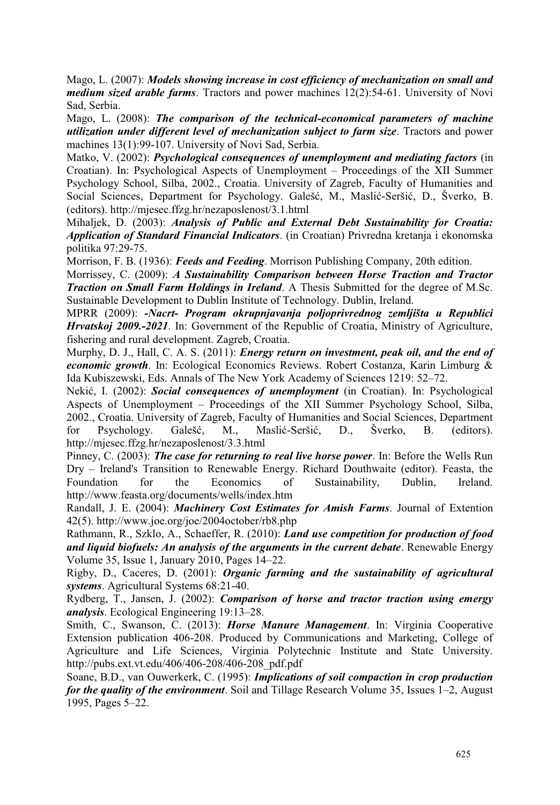Mago, L. (2007): *Models showing increase in cost efficiency of mechanization on small and medium sized arable farms*. Tractors and power machines 12(2):54-61. University of Novi Sad, Serbia.

Mago, L. (2008): *The comparison of the technical-economical parameters of machine utilization under different level of mechanization subject to farm size*. Tractors and power machines 13(1):99-107. University of Novi Sad, Serbia.

Matko, V. (2002): *Psychological consequences of unemployment and mediating factors* (in Croatian). In: Psychological Aspects of Unemployment – Proceedings of the XII Summer Psychology School, Silba, 2002., Croatia. University of Zagreb, Faculty of Humanities and Social Sciences, Department for Psychology. Galešć, M., Maslić-Seršić, D., Šverko, B. (editors). http://mjesec.ffzg.hr/nezaposlenost/3.1.html

Mihaljek, D. (2003): *Analysis of Public and External Debt Sustainability for Croatia: Application of Standard Financial Indicators*. (in Croatian) Privredna kretanja i ekonomska politika 97:29-75.

Morrison, F. B. (1936): *Feeds and Feeding*. Morrison Publishing Company, 20th edition.

Morrissey, C. (2009): *A Sustainability Comparison between Horse Traction and Tractor Traction on Small Farm Holdings in Ireland*. A Thesis Submitted for the degree of M.Sc. Sustainable Development to Dublin Institute of Technology. Dublin, Ireland.

MPRR (2009): *-Nacrt- Program okrupnjavanja poljoprivrednog zemljišta u Republici Hrvatskoj 2009.-2021*. In: Government of the Republic of Croatia, Ministry of Agriculture, fishering and rural development. Zagreb, Croatia.

Murphy, D. J., Hall, C. A. S. (2011): *Energy return on investment, peak oil, and the end of economic growth*. In: Ecological Economics Reviews. Robert Costanza, Karin Limburg & Ida Kubiszewski, Eds. Annals of The New York Academy of Sciences 1219: 52–72.

Nekić, I. (2002): *Social consequences of unemployment* (in Croatian). In: Psychological Aspects of Unemployment – Proceedings of the XII Summer Psychology School, Silba, 2002., Croatia. University of Zagreb, Faculty of Humanities and Social Sciences, Department for Psychology. Galešć, M., Maslić-Seršić, D., Šverko, B. (editors). http://mjesec.ffzg.hr/nezaposlenost/3.3.html

Pinney, C. (2003): *The case for returning to real live horse power*. In: Before the Wells Run Dry – Ireland's Transition to Renewable Energy. Richard Douthwaite (editor). Feasta, the Foundation for the Economics of Sustainability, Dublin, Ireland. http://www.feasta.org/documents/wells/index.htm

Randall, J. E. (2004): *Machinery Cost Estimates for Amish Farms*. Journal of Extention 42(5). http://www.joe.org/joe/2004october/rb8.php

Rathmann, R., Szklo, A., Schaeffer, R. (2010): *Land use competition for production of food and liquid biofuels: An analysis of the arguments in the current debate*. Renewable Energy Volume 35, Issue 1, January 2010, Pages 14–22.

Rigby, D., Caceres, D. (2001): *Organic farming and the sustainability of agricultural systems*. Agricultural Systems 68:21-40.

Rydberg, T., Jansen, J. (2002): *Comparison of horse and tractor traction using emergy analysis*. Ecological Engineering 19:13–28.

Smith, C., Swanson, C. (2013): *Horse Manure Management*. In: Virginia Cooperative Extension publication 406-208. Produced by Communications and Marketing, College of Agriculture and Life Sciences, Virginia Polytechnic Institute and State University. http://pubs.ext.vt.edu/406/406-208/406-208\_pdf.pdf

Soane, B.D., van Ouwerkerk, C. (1995): *Implications of soil compaction in crop production for the quality of the environment*. Soil and Tillage Research Volume 35, Issues 1–2, August 1995, Pages 5–22.